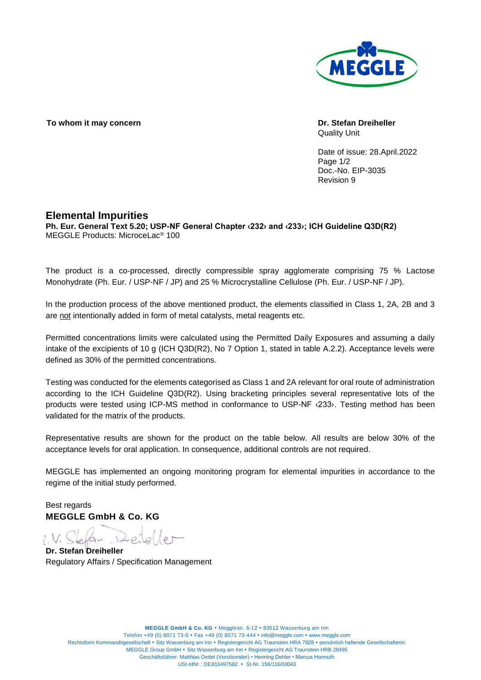

**To whom it may concern Dr. Stefan Dreiheller**

Quality Unit

Date of issue: 28.April.2022 Page  $1/2$ Doc.-No. EIP-3035 Revision 9

## **Elemental Impurities**

**Ph. Eur. General Text 5.20; USP-NF General Chapter ‹232› and ‹233›; ICH Guideline Q3D(R2)** MEGGLE Products: MicroceLac® 100

The product is a co-processed, directly compressible spray agglomerate comprising 75 % Lactose Monohydrate (Ph. Eur. / USP-NF / JP) and 25 % Microcrystalline Cellulose (Ph. Eur. / USP-NF / JP).

In the production process of the above mentioned product, the elements classified in Class 1, 2A, 2B and 3 are not intentionally added in form of metal catalysts, metal reagents etc.

Permitted concentrations limits were calculated using the Permitted Daily Exposures and assuming a daily intake of the excipients of 10 g (ICH Q3D(R2), No 7 Option 1, stated in table A.2.2). Acceptance levels were defined as 30% of the permitted concentrations.

Testing was conducted for the elements categorised as Class 1 and 2A relevant for oral route of administration according to the ICH Guideline Q3D(R2). Using bracketing principles several representative lots of the products were tested using ICP-MS method in conformance to USP-NF ‹233›. Testing method has been validated for the matrix of the products.

Representative results are shown for the product on the table below. All results are below 30% of the acceptance levels for oral application. In consequence, additional controls are not required.

MEGGLE has implemented an ongoing monitoring program for elemental impurities in accordance to the regime of the initial study performed.

Best regards **MEGGLE GmbH & Co. KG**

i.V. Stefan Deiteller

**Dr. Stefan Dreiheller** Regulatory Affairs / Specification Management